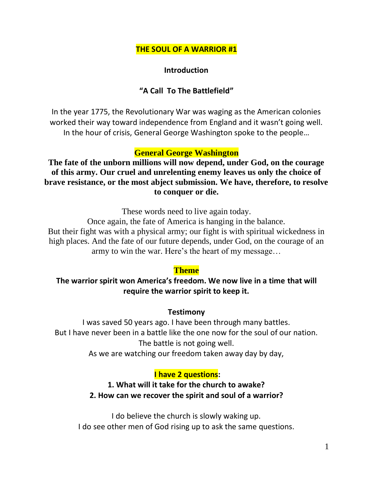### **THE SOUL OF A WARRIOR #1**

#### **Introduction**

### **"A Call To The Battlefield"**

In the year 1775, the Revolutionary War was waging as the American colonies worked their way toward independence from England and it wasn't going well. In the hour of crisis, General George Washington spoke to the people…

#### **General George Washington**

**The fate of the unborn millions will now depend, under God, on the courage of this army. Our cruel and unrelenting enemy leaves us only the choice of brave resistance, or the most abject submission. We have, therefore, to resolve to conquer or die.**

These words need to live again today.

Once again, the fate of America is hanging in the balance. But their fight was with a physical army; our fight is with spiritual wickedness in high places. And the fate of our future depends, under God, on the courage of an army to win the war. Here's the heart of my message…

#### **Theme**

### **The warrior spirit won America's freedom. We now live in a time that will require the warrior spirit to keep it.**

#### **Testimony**

I was saved 50 years ago. I have been through many battles. But I have never been in a battle like the one now for the soul of our nation. The battle is not going well.

As we are watching our freedom taken away day by day,

#### **I have 2 questions:**

# **1. What will it take for the church to awake? 2. How can we recover the spirit and soul of a warrior?**

I do believe the church is slowly waking up. I do see other men of God rising up to ask the same questions.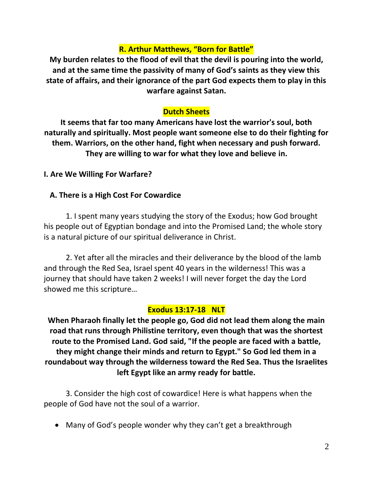## **R. Arthur Matthews, "Born for Battle"**

**My burden relates to the flood of evil that the devil is pouring into the world, and at the same time the passivity of many of God's saints as they view this state of affairs, and their ignorance of the part God expects them to play in this warfare against Satan.**

### **Dutch Sheets**

**It seems that far too many Americans have lost the warrior's soul, both naturally and spiritually. Most people want someone else to do their fighting for them. Warriors, on the other hand, fight when necessary and push forward. They are willing to war for what they love and believe in.**

**I. Are We Willing For Warfare?**

### **A. There is a High Cost For Cowardice**

1. I spent many years studying the story of the Exodus; how God brought his people out of Egyptian bondage and into the Promised Land; the whole story is a natural picture of our spiritual deliverance in Christ.

2. Yet after all the miracles and their deliverance by the blood of the lamb and through the Red Sea, Israel spent 40 years in the wilderness! This was a journey that should have taken 2 weeks! I will never forget the day the Lord showed me this scripture…

#### **Exodus 13:17-18 NLT**

**When Pharaoh finally let the people go, God did not lead them along the main road that runs through Philistine territory, even though that was the shortest route to the Promised Land. God said, "If the people are faced with a battle, they might change their minds and return to Egypt." So God led them in a roundabout way through the wilderness toward the Red Sea. Thus the Israelites left Egypt like an army ready for battle.**

3. Consider the high cost of cowardice! Here is what happens when the people of God have not the soul of a warrior.

• Many of God's people wonder why they can't get a breakthrough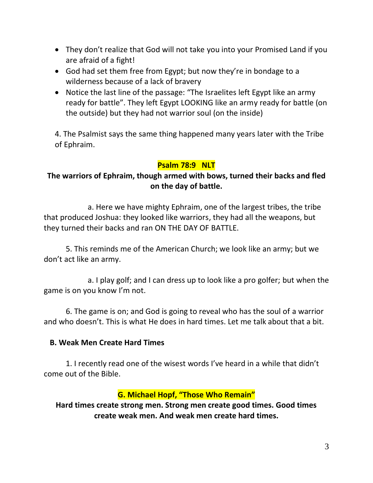- They don't realize that God will not take you into your Promised Land if you are afraid of a fight!
- God had set them free from Egypt; but now they're in bondage to a wilderness because of a lack of bravery
- Notice the last line of the passage: "The Israelites left Egypt like an army ready for battle". They left Egypt LOOKING like an army ready for battle (on the outside) but they had not warrior soul (on the inside)

4. The Psalmist says the same thing happened many years later with the Tribe of Ephraim.

### **Psalm 78:9 NLT**

# **The warriors of Ephraim, though armed with bows, turned their backs and fled on the day of battle.**

a. Here we have mighty Ephraim, one of the largest tribes, the tribe that produced Joshua: they looked like warriors, they had all the weapons, but they turned their backs and ran ON THE DAY OF BATTLE.

5. This reminds me of the American Church; we look like an army; but we don't act like an army.

a. I play golf; and I can dress up to look like a pro golfer; but when the game is on you know I'm not.

6. The game is on; and God is going to reveal who has the soul of a warrior and who doesn't. This is what He does in hard times. Let me talk about that a bit.

### **B. Weak Men Create Hard Times**

1. I recently read one of the wisest words I've heard in a while that didn't come out of the Bible.

## **G. Michael Hopf, "Those Who Remain"**

**Hard times create strong men. Strong men create good times. Good times create weak men. And weak men create hard times.**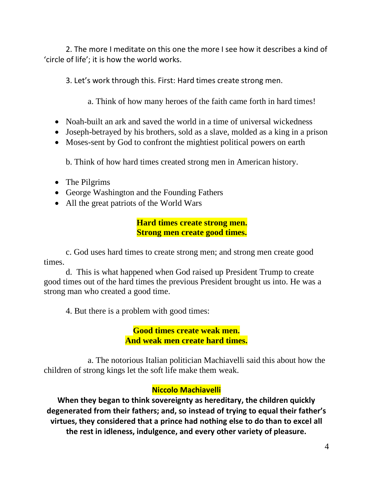2. The more I meditate on this one the more I see how it describes a kind of 'circle of life'; it is how the world works.

3. Let's work through this. First: Hard times create strong men.

a. Think of how many heroes of the faith came forth in hard times!

- Noah-built an ark and saved the world in a time of universal wickedness
- Joseph-betrayed by his brothers, sold as a slave, molded as a king in a prison
- Moses-sent by God to confront the mightiest political powers on earth

b. Think of how hard times created strong men in American history.

- The Pilgrims
- George Washington and the Founding Fathers
- All the great patriots of the World Wars

**Hard times create strong men. Strong men create good times.**

c. God uses hard times to create strong men; and strong men create good times.

d. This is what happened when God raised up President Trump to create good times out of the hard times the previous President brought us into. He was a strong man who created a good time.

4. But there is a problem with good times:

**Good times create weak men. And weak men create hard times.**

a. The notorious Italian politician Machiavelli said this about how the children of strong kings let the soft life make them weak.

## **Niccolo Machiavelli**

**When they began to think sovereignty as hereditary, the children quickly degenerated from their fathers; and, so instead of trying to equal their father's virtues, they considered that a prince had nothing else to do than to excel all the rest in idleness, indulgence, and every other variety of pleasure.**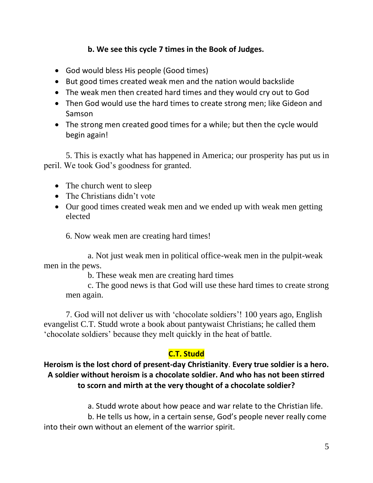## **b. We see this cycle 7 times in the Book of Judges.**

- God would bless His people (Good times)
- But good times created weak men and the nation would backslide
- The weak men then created hard times and they would cry out to God
- Then God would use the hard times to create strong men; like Gideon and Samson
- The strong men created good times for a while; but then the cycle would begin again!

5. This is exactly what has happened in America; our prosperity has put us in peril. We took God's goodness for granted.

- The church went to sleep
- The Christians didn't vote
- Our good times created weak men and we ended up with weak men getting elected

6. Now weak men are creating hard times!

a. Not just weak men in political office-weak men in the pulpit-weak men in the pews.

b. These weak men are creating hard times

c. The good news is that God will use these hard times to create strong men again.

7. God will not deliver us with 'chocolate soldiers'! 100 years ago, English evangelist C.T. Studd wrote a book about pantywaist Christians; he called them 'chocolate soldiers' because they melt quickly in the heat of battle.

# **C.T. Studd**

# **Heroism is the lost chord of present-day Christianity**. **Every true soldier is a hero. A soldier without heroism is a chocolate soldier. And who has not been stirred to scorn and mirth at the very thought of a chocolate soldier?**

a. Studd wrote about how peace and war relate to the Christian life.

b. He tells us how, in a certain sense, God's people never really come into their own without an element of the warrior spirit.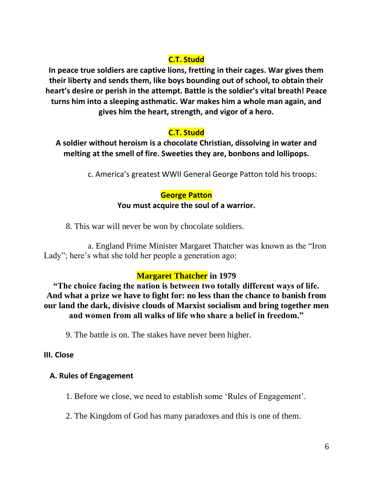# **C.T. Studd**

**In peace true soldiers are captive lions, fretting in their cages. War gives them their liberty and sends them, like boys bounding out of school, to obtain their heart's desire or perish in the attempt. Battle is the soldier's vital breath! Peace turns him into a sleeping asthmatic. War makes him a whole man again, and gives him the heart, strength, and vigor of a hero.**

# **C.T. Studd**

**A soldier without heroism is a chocolate Christian, dissolving in water and melting at the smell of fire. Sweeties they are, bonbons and lollipops.**

c. America's greatest WWII General George Patton told his troops:

# **George Patton**

### **You must acquire the soul of a warrior.**

8. This war will never be won by chocolate soldiers.

a. England Prime Minister Margaret Thatcher was known as the "Iron Lady"; here's what she told her people a generation ago:

# **Margaret Thatcher in 1979**

**"The choice facing the nation is between two totally different ways of life. And what a prize we have to fight for: no less than the chance to banish from our land the dark, divisive clouds of Marxist socialism and bring together men and women from all walks of life who share a belief in freedom."**

9. The battle is on. The stakes have never been higher.

## **III. Close**

## **A. Rules of Engagement**

1. Before we close, we need to establish some 'Rules of Engagement'.

2. The Kingdom of God has many paradoxes and this is one of them.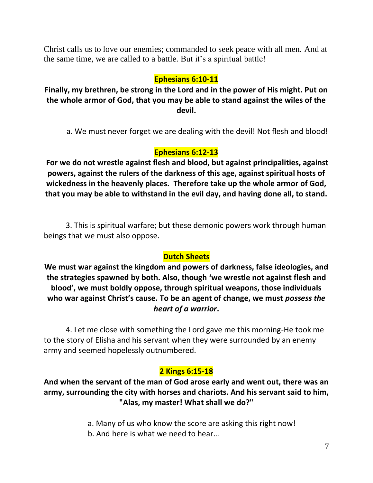Christ calls us to love our enemies; commanded to seek peace with all men. And at the same time, we are called to a battle. But it's a spiritual battle!

# **Ephesians 6:10-11**

**Finally, my brethren, be strong in the Lord and in the power of His might. Put on the whole armor of God, that you may be able to stand against the wiles of the devil.** 

a. We must never forget we are dealing with the devil! Not flesh and blood!

# **Ephesians 6:12-13**

**For we do not wrestle against flesh and blood, but against principalities, against powers, against the rulers of the darkness of this age, against spiritual hosts of wickedness in the heavenly places. Therefore take up the whole armor of God, that you may be able to withstand in the evil day, and having done all, to stand.**

3. This is spiritual warfare; but these demonic powers work through human beings that we must also oppose.

## **Dutch Sheets**

**We must war against the kingdom and powers of darkness, false ideologies, and the strategies spawned by both. Also, though 'we wrestle not against flesh and blood', we must boldly oppose, through spiritual weapons, those individuals who war against Christ's cause. To be an agent of change, we must** *possess the heart of a warrior***.**

4. Let me close with something the Lord gave me this morning-He took me to the story of Elisha and his servant when they were surrounded by an enemy army and seemed hopelessly outnumbered.

## **2 Kings 6:15-18**

**And when the servant of the man of God arose early and went out, there was an army, surrounding the city with horses and chariots. And his servant said to him, "Alas, my master! What shall we do?"**

> a. Many of us who know the score are asking this right now! b. And here is what we need to hear…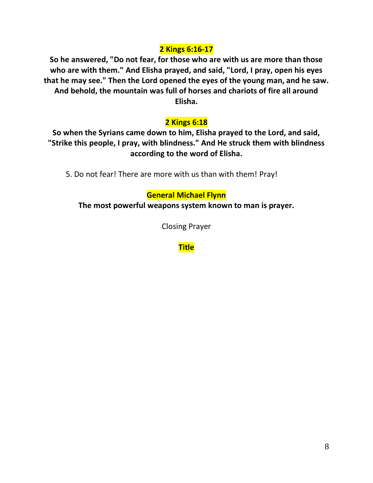### **2 Kings 6:16-17**

**So he answered, "Do not fear, for those who are with us are more than those who are with them." And Elisha prayed, and said, "Lord, I pray, open his eyes that he may see." Then the Lord opened the eyes of the young man, and he saw. And behold, the mountain was full of horses and chariots of fire all around Elisha.** 

## **2 Kings 6:18**

**So when the Syrians came down to him, Elisha prayed to the Lord, and said, "Strike this people, I pray, with blindness." And He struck them with blindness according to the word of Elisha.**

5. Do not fear! There are more with us than with them! Pray!

### **General Michael Flynn**

**The most powerful weapons system known to man is prayer.**

Closing Prayer

**Title**